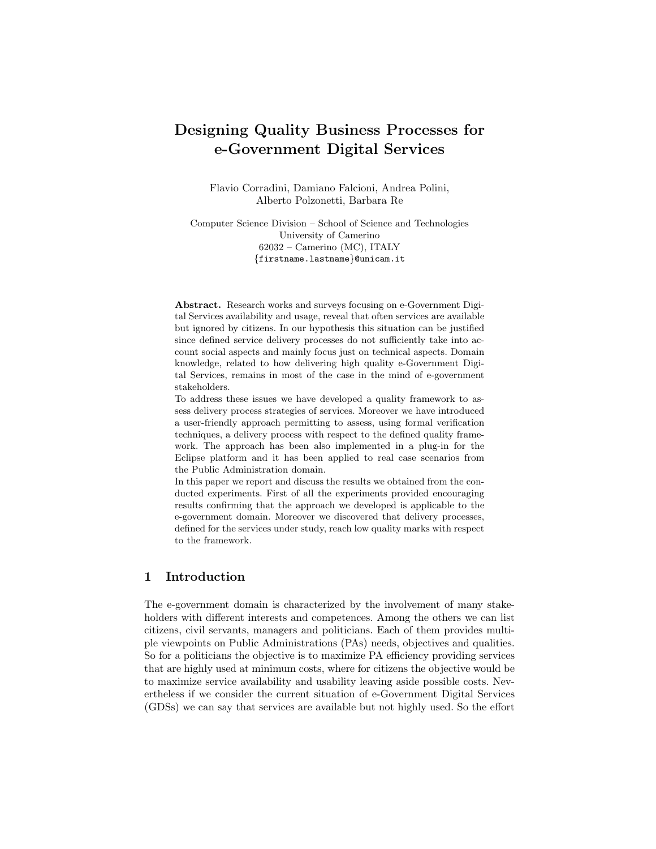# Designing Quality Business Processes for e-Government Digital Services

Flavio Corradini, Damiano Falcioni, Andrea Polini, Alberto Polzonetti, Barbara Re

Computer Science Division – School of Science and Technologies University of Camerino 62032 – Camerino (MC), ITALY {firstname.lastname}@unicam.it

Abstract. Research works and surveys focusing on e-Government Digital Services availability and usage, reveal that often services are available but ignored by citizens. In our hypothesis this situation can be justified since defined service delivery processes do not sufficiently take into account social aspects and mainly focus just on technical aspects. Domain knowledge, related to how delivering high quality e-Government Digital Services, remains in most of the case in the mind of e-government stakeholders.

To address these issues we have developed a quality framework to assess delivery process strategies of services. Moreover we have introduced a user-friendly approach permitting to assess, using formal verification techniques, a delivery process with respect to the defined quality framework. The approach has been also implemented in a plug-in for the Eclipse platform and it has been applied to real case scenarios from the Public Administration domain.

In this paper we report and discuss the results we obtained from the conducted experiments. First of all the experiments provided encouraging results confirming that the approach we developed is applicable to the e-government domain. Moreover we discovered that delivery processes, defined for the services under study, reach low quality marks with respect to the framework.

# 1 Introduction

The e-government domain is characterized by the involvement of many stakeholders with different interests and competences. Among the others we can list citizens, civil servants, managers and politicians. Each of them provides multiple viewpoints on Public Administrations (PAs) needs, objectives and qualities. So for a politicians the objective is to maximize PA efficiency providing services that are highly used at minimum costs, where for citizens the objective would be to maximize service availability and usability leaving aside possible costs. Nevertheless if we consider the current situation of e-Government Digital Services (GDSs) we can say that services are available but not highly used. So the effort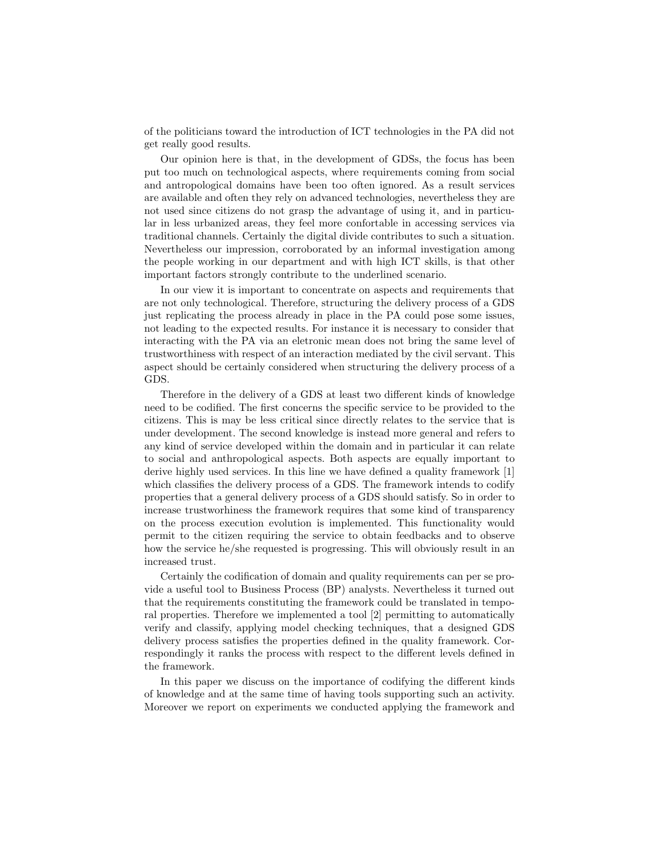of the politicians toward the introduction of ICT technologies in the PA did not get really good results.

Our opinion here is that, in the development of GDSs, the focus has been put too much on technological aspects, where requirements coming from social and antropological domains have been too often ignored. As a result services are available and often they rely on advanced technologies, nevertheless they are not used since citizens do not grasp the advantage of using it, and in particular in less urbanized areas, they feel more confortable in accessing services via traditional channels. Certainly the digital divide contributes to such a situation. Nevertheless our impression, corroborated by an informal investigation among the people working in our department and with high ICT skills, is that other important factors strongly contribute to the underlined scenario.

In our view it is important to concentrate on aspects and requirements that are not only technological. Therefore, structuring the delivery process of a GDS just replicating the process already in place in the PA could pose some issues, not leading to the expected results. For instance it is necessary to consider that interacting with the PA via an eletronic mean does not bring the same level of trustworthiness with respect of an interaction mediated by the civil servant. This aspect should be certainly considered when structuring the delivery process of a GDS.

Therefore in the delivery of a GDS at least two different kinds of knowledge need to be codified. The first concerns the specific service to be provided to the citizens. This is may be less critical since directly relates to the service that is under development. The second knowledge is instead more general and refers to any kind of service developed within the domain and in particular it can relate to social and anthropological aspects. Both aspects are equally important to derive highly used services. In this line we have defined a quality framework [1] which classifies the delivery process of a GDS. The framework intends to codify properties that a general delivery process of a GDS should satisfy. So in order to increase trustworhiness the framework requires that some kind of transparency on the process execution evolution is implemented. This functionality would permit to the citizen requiring the service to obtain feedbacks and to observe how the service he/she requested is progressing. This will obviously result in an increased trust.

Certainly the codification of domain and quality requirements can per se provide a useful tool to Business Process (BP) analysts. Nevertheless it turned out that the requirements constituting the framework could be translated in temporal properties. Therefore we implemented a tool [2] permitting to automatically verify and classify, applying model checking techniques, that a designed GDS delivery process satisfies the properties defined in the quality framework. Correspondingly it ranks the process with respect to the different levels defined in the framework.

In this paper we discuss on the importance of codifying the different kinds of knowledge and at the same time of having tools supporting such an activity. Moreover we report on experiments we conducted applying the framework and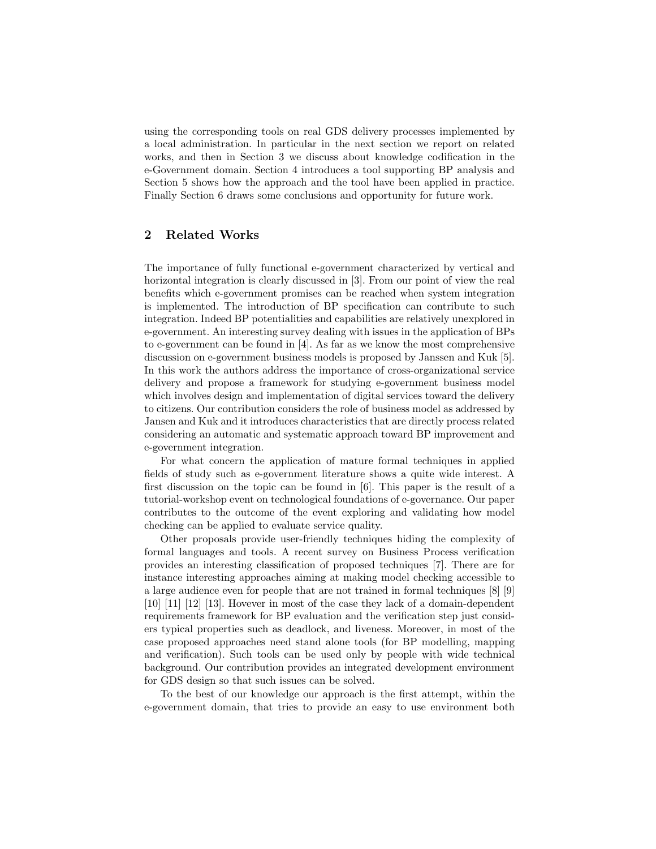using the corresponding tools on real GDS delivery processes implemented by a local administration. In particular in the next section we report on related works, and then in Section 3 we discuss about knowledge codification in the e-Government domain. Section 4 introduces a tool supporting BP analysis and Section 5 shows how the approach and the tool have been applied in practice. Finally Section 6 draws some conclusions and opportunity for future work.

# 2 Related Works

The importance of fully functional e-government characterized by vertical and horizontal integration is clearly discussed in [3]. From our point of view the real benefits which e-government promises can be reached when system integration is implemented. The introduction of BP specification can contribute to such integration. Indeed BP potentialities and capabilities are relatively unexplored in e-government. An interesting survey dealing with issues in the application of BPs to e-government can be found in [4]. As far as we know the most comprehensive discussion on e-government business models is proposed by Janssen and Kuk [5]. In this work the authors address the importance of cross-organizational service delivery and propose a framework for studying e-government business model which involves design and implementation of digital services toward the delivery to citizens. Our contribution considers the role of business model as addressed by Jansen and Kuk and it introduces characteristics that are directly process related considering an automatic and systematic approach toward BP improvement and e-government integration.

For what concern the application of mature formal techniques in applied fields of study such as e-government literature shows a quite wide interest. A first discussion on the topic can be found in [6]. This paper is the result of a tutorial-workshop event on technological foundations of e-governance. Our paper contributes to the outcome of the event exploring and validating how model checking can be applied to evaluate service quality.

Other proposals provide user-friendly techniques hiding the complexity of formal languages and tools. A recent survey on Business Process verification provides an interesting classification of proposed techniques [7]. There are for instance interesting approaches aiming at making model checking accessible to a large audience even for people that are not trained in formal techniques [8] [9] [10] [11] [12] [13]. Hovever in most of the case they lack of a domain-dependent requirements framework for BP evaluation and the verification step just considers typical properties such as deadlock, and liveness. Moreover, in most of the case proposed approaches need stand alone tools (for BP modelling, mapping and verification). Such tools can be used only by people with wide technical background. Our contribution provides an integrated development environment for GDS design so that such issues can be solved.

To the best of our knowledge our approach is the first attempt, within the e-government domain, that tries to provide an easy to use environment both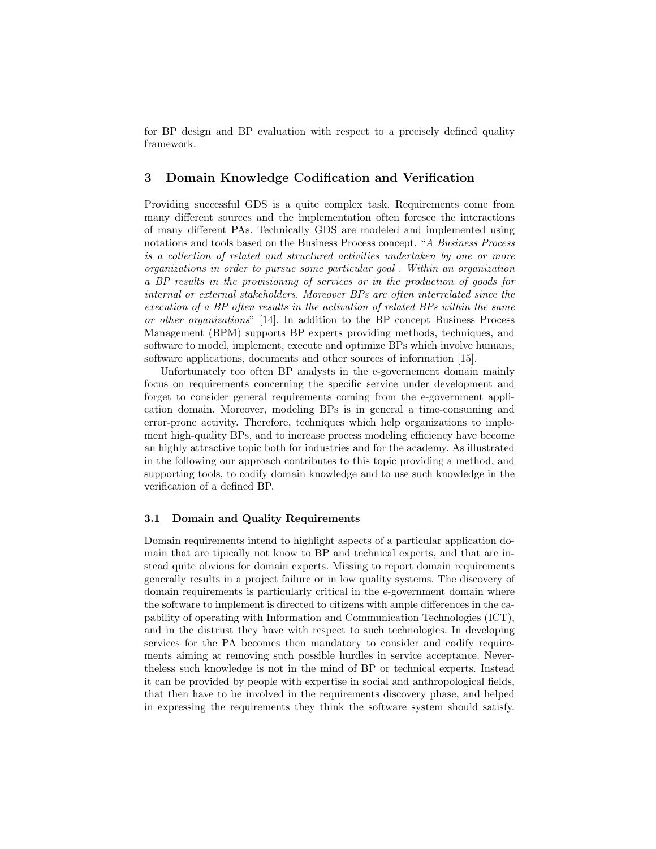for BP design and BP evaluation with respect to a precisely defined quality framework.

### 3 Domain Knowledge Codification and Verification

Providing successful GDS is a quite complex task. Requirements come from many different sources and the implementation often foresee the interactions of many different PAs. Technically GDS are modeled and implemented using notations and tools based on the Business Process concept. "A Business Process is a collection of related and structured activities undertaken by one or more organizations in order to pursue some particular goal . Within an organization a BP results in the provisioning of services or in the production of goods for internal or external stakeholders. Moreover BPs are often interrelated since the execution of a BP often results in the activation of related BPs within the same or other organizations" [14]. In addition to the BP concept Business Process Management (BPM) supports BP experts providing methods, techniques, and software to model, implement, execute and optimize BPs which involve humans, software applications, documents and other sources of information [15].

Unfortunately too often BP analysts in the e-governement domain mainly focus on requirements concerning the specific service under development and forget to consider general requirements coming from the e-government application domain. Moreover, modeling BPs is in general a time-consuming and error-prone activity. Therefore, techniques which help organizations to implement high-quality BPs, and to increase process modeling efficiency have become an highly attractive topic both for industries and for the academy. As illustrated in the following our approach contributes to this topic providing a method, and supporting tools, to codify domain knowledge and to use such knowledge in the verification of a defined BP.

### 3.1 Domain and Quality Requirements

Domain requirements intend to highlight aspects of a particular application domain that are tipically not know to BP and technical experts, and that are instead quite obvious for domain experts. Missing to report domain requirements generally results in a project failure or in low quality systems. The discovery of domain requirements is particularly critical in the e-government domain where the software to implement is directed to citizens with ample differences in the capability of operating with Information and Communication Technologies (ICT), and in the distrust they have with respect to such technologies. In developing services for the PA becomes then mandatory to consider and codify requirements aiming at removing such possible hurdles in service acceptance. Nevertheless such knowledge is not in the mind of BP or technical experts. Instead it can be provided by people with expertise in social and anthropological fields, that then have to be involved in the requirements discovery phase, and helped in expressing the requirements they think the software system should satisfy.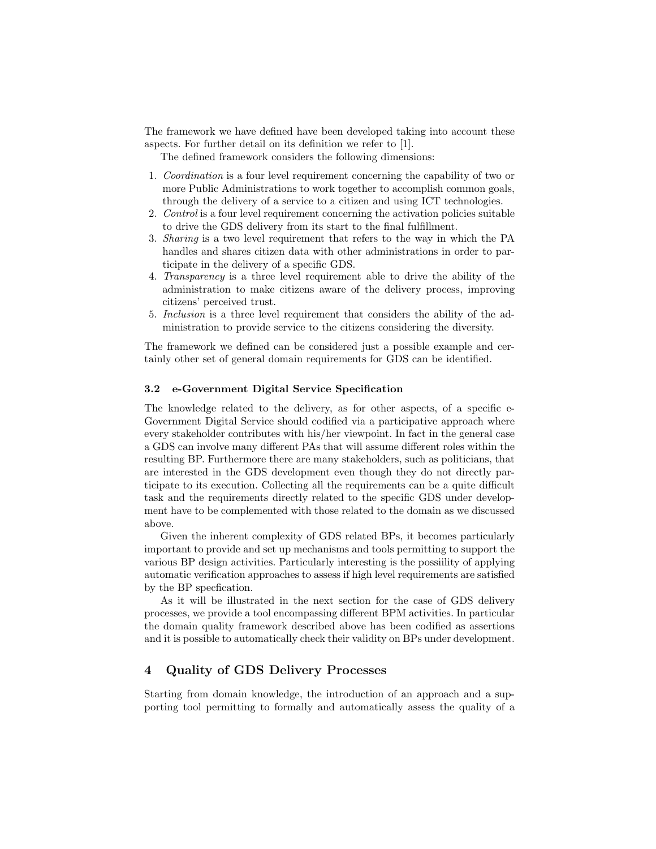The framework we have defined have been developed taking into account these aspects. For further detail on its definition we refer to [1].

The defined framework considers the following dimensions:

- 1. Coordination is a four level requirement concerning the capability of two or more Public Administrations to work together to accomplish common goals, through the delivery of a service to a citizen and using ICT technologies.
- 2. Control is a four level requirement concerning the activation policies suitable to drive the GDS delivery from its start to the final fulfillment.
- 3. Sharing is a two level requirement that refers to the way in which the PA handles and shares citizen data with other administrations in order to participate in the delivery of a specific GDS.
- 4. Transparency is a three level requirement able to drive the ability of the administration to make citizens aware of the delivery process, improving citizens' perceived trust.
- 5. Inclusion is a three level requirement that considers the ability of the administration to provide service to the citizens considering the diversity.

The framework we defined can be considered just a possible example and certainly other set of general domain requirements for GDS can be identified.

### 3.2 e-Government Digital Service Specification

The knowledge related to the delivery, as for other aspects, of a specific e-Government Digital Service should codified via a participative approach where every stakeholder contributes with his/her viewpoint. In fact in the general case a GDS can involve many different PAs that will assume different roles within the resulting BP. Furthermore there are many stakeholders, such as politicians, that are interested in the GDS development even though they do not directly participate to its execution. Collecting all the requirements can be a quite difficult task and the requirements directly related to the specific GDS under development have to be complemented with those related to the domain as we discussed above.

Given the inherent complexity of GDS related BPs, it becomes particularly important to provide and set up mechanisms and tools permitting to support the various BP design activities. Particularly interesting is the possiility of applying automatic verification approaches to assess if high level requirements are satisfied by the BP specfication.

As it will be illustrated in the next section for the case of GDS delivery processes, we provide a tool encompassing different BPM activities. In particular the domain quality framework described above has been codified as assertions and it is possible to automatically check their validity on BPs under development.

# 4 Quality of GDS Delivery Processes

Starting from domain knowledge, the introduction of an approach and a supporting tool permitting to formally and automatically assess the quality of a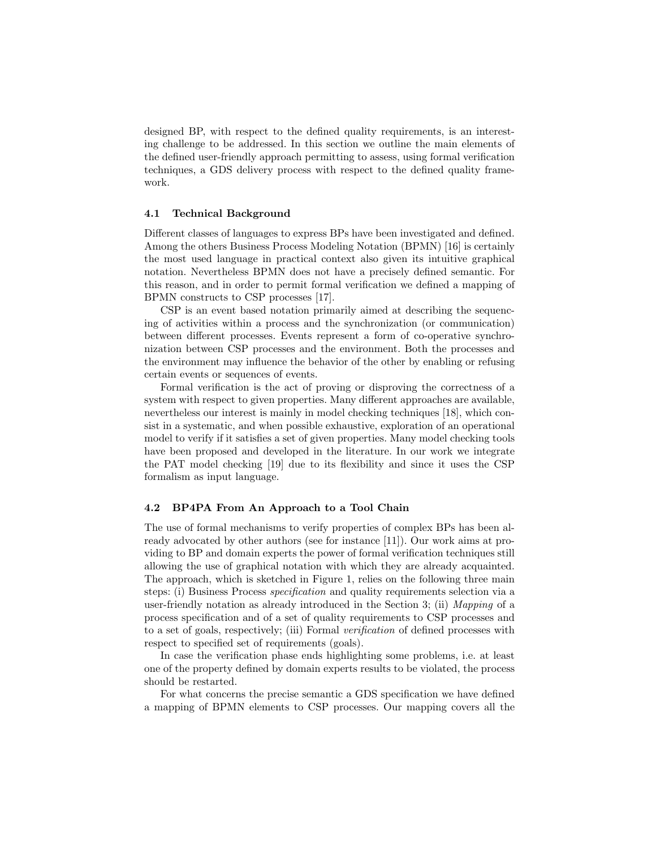designed BP, with respect to the defined quality requirements, is an interesting challenge to be addressed. In this section we outline the main elements of the defined user-friendly approach permitting to assess, using formal verification techniques, a GDS delivery process with respect to the defined quality framework.

#### 4.1 Technical Background

Different classes of languages to express BPs have been investigated and defined. Among the others Business Process Modeling Notation (BPMN) [16] is certainly the most used language in practical context also given its intuitive graphical notation. Nevertheless BPMN does not have a precisely defined semantic. For this reason, and in order to permit formal verification we defined a mapping of BPMN constructs to CSP processes [17].

CSP is an event based notation primarily aimed at describing the sequencing of activities within a process and the synchronization (or communication) between different processes. Events represent a form of co-operative synchronization between CSP processes and the environment. Both the processes and the environment may influence the behavior of the other by enabling or refusing certain events or sequences of events.

Formal verification is the act of proving or disproving the correctness of a system with respect to given properties. Many different approaches are available, nevertheless our interest is mainly in model checking techniques [18], which consist in a systematic, and when possible exhaustive, exploration of an operational model to verify if it satisfies a set of given properties. Many model checking tools have been proposed and developed in the literature. In our work we integrate the PAT model checking [19] due to its flexibility and since it uses the CSP formalism as input language.

#### 4.2 BP4PA From An Approach to a Tool Chain

The use of formal mechanisms to verify properties of complex BPs has been already advocated by other authors (see for instance [11]). Our work aims at providing to BP and domain experts the power of formal verification techniques still allowing the use of graphical notation with which they are already acquainted. The approach, which is sketched in Figure 1, relies on the following three main steps: (i) Business Process specification and quality requirements selection via a user-friendly notation as already introduced in the Section 3; (ii) Mapping of a process specification and of a set of quality requirements to CSP processes and to a set of goals, respectively; (iii) Formal verification of defined processes with respect to specified set of requirements (goals).

In case the verification phase ends highlighting some problems, i.e. at least one of the property defined by domain experts results to be violated, the process should be restarted.

For what concerns the precise semantic a GDS specification we have defined a mapping of BPMN elements to CSP processes. Our mapping covers all the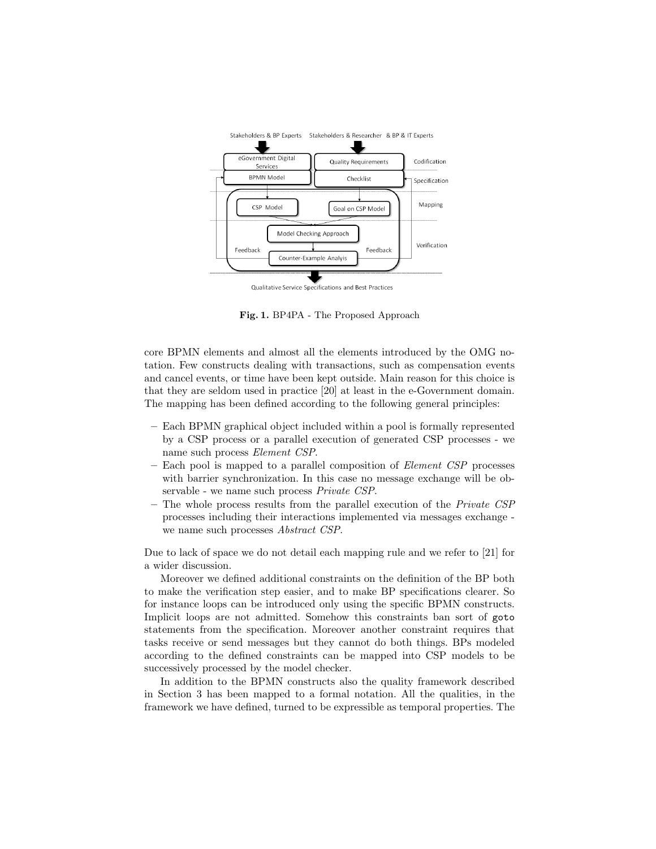

Qualitative Service Specifications and Best Practices

Fig. 1. BP4PA - The Proposed Approach

core BPMN elements and almost all the elements introduced by the OMG notation. Few constructs dealing with transactions, such as compensation events and cancel events, or time have been kept outside. Main reason for this choice is that they are seldom used in practice [20] at least in the e-Government domain. The mapping has been defined according to the following general principles:

- Each BPMN graphical object included within a pool is formally represented by a CSP process or a parallel execution of generated CSP processes - we name such process Element CSP.
- Each pool is mapped to a parallel composition of *Element CSP* processes with barrier synchronization. In this case no message exchange will be observable - we name such process Private CSP.
- The whole process results from the parallel execution of the Private CSP processes including their interactions implemented via messages exchange we name such processes Abstract CSP.

Due to lack of space we do not detail each mapping rule and we refer to [21] for a wider discussion.

Moreover we defined additional constraints on the definition of the BP both to make the verification step easier, and to make BP specifications clearer. So for instance loops can be introduced only using the specific BPMN constructs. Implicit loops are not admitted. Somehow this constraints ban sort of goto statements from the specification. Moreover another constraint requires that tasks receive or send messages but they cannot do both things. BPs modeled according to the defined constraints can be mapped into CSP models to be successively processed by the model checker.

In addition to the BPMN constructs also the quality framework described in Section 3 has been mapped to a formal notation. All the qualities, in the framework we have defined, turned to be expressible as temporal properties. The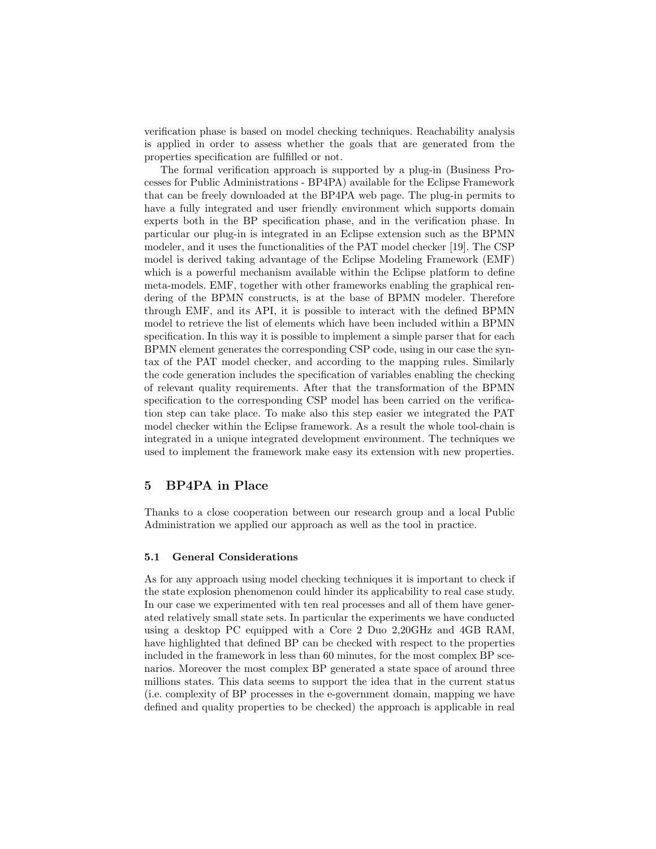verification phase is based on model checking techniques. Reachability analysis is applied in order to assess whether the goals that are generated from the properties specification are fulfilled or not.

The formal verification approach is supported by a plug-in (Business Processes for Public Administrations - BP4PA) available for the Eclipse Framework that can be freely downloaded at the BP4PA web page. The plug-in permits to have a fully integrated and user friendly environment which supports domain experts both in the BP specification phase, and in the verification phase. In particular our plug-in is integrated in an Eclipse extension such as the BPMN modeler, and it uses the functionalities of the PAT model checker [19]. The CSP model is derived taking advantage of the Eclipse Modeling Framework (EMF) which is a powerful mechanism available within the Eclipse platform to define meta-models. EMF, together with other frameworks enabling the graphical rendering of the BPMN constructs, is at the base of BPMN modeler. Therefore through EMF, and its API, it is possible to interact with the defined BPMN model to retrieve the list of elements which have been included within a BPMN specification. In this way it is possible to implement a simple parser that for each BPMN element generates the corresponding CSP code, using in our case the syntax of the PAT model checker, and according to the mapping rules. Similarly the code generation includes the specification of variables enabling the checking of relevant quality requirements. After that the transformation of the BPMN specification to the corresponding CSP model has been carried on the verification step can take place. To make also this step easier we integrated the PAT model checker within the Eclipse framework. As a result the whole tool-chain is integrated in a unique integrated development environment. The techniques we used to implement the framework make easy its extension with new properties.

# 5 BP4PA in Place

Thanks to a close cooperation between our research group and a local Public Administration we applied our approach as well as the tool in practice.

### 5.1 General Considerations

As for any approach using model checking techniques it is important to check if the state explosion phenomenon could hinder its applicability to real case study. In our case we experimented with ten real processes and all of them have generated relatively small state sets. In particular the experiments we have conducted using a desktop PC equipped with a Core 2 Duo 2,20GHz and 4GB RAM, have highlighted that defined BP can be checked with respect to the properties included in the framework in less than 60 minutes, for the most complex BP scenarios. Moreover the most complex BP generated a state space of around three millions states. This data seems to support the idea that in the current status (i.e. complexity of BP processes in the e-government domain, mapping we have defined and quality properties to be checked) the approach is applicable in real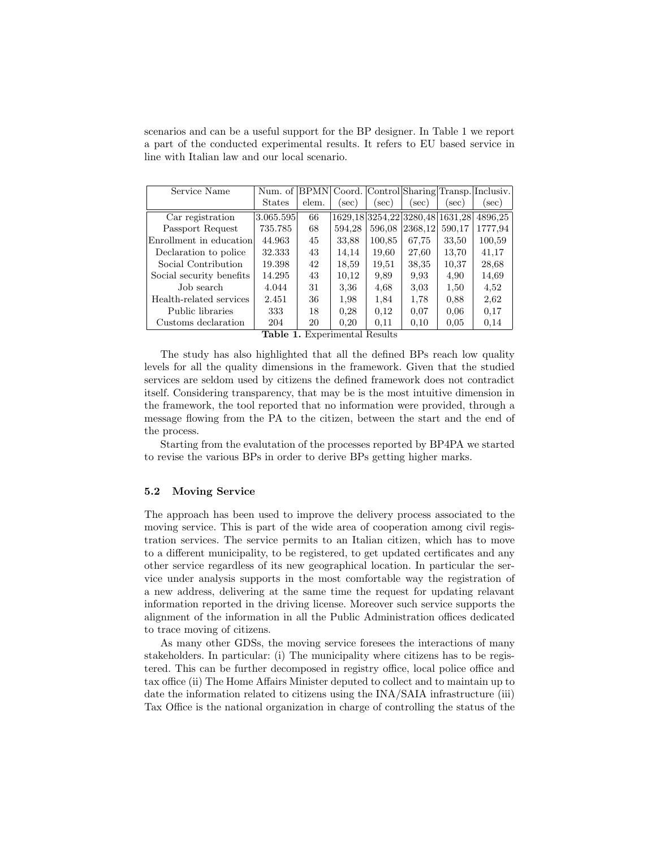scenarios and can be a useful support for the BP designer. In Table 1 we report a part of the conducted experimental results. It refers to EU based service in line with Italian law and our local scenario.

| Service Name                        | Num. of       | <b>BPMN</b> |        |          |                            |         | Coord. Control Sharing Transp. Inclusiv. |
|-------------------------------------|---------------|-------------|--------|----------|----------------------------|---------|------------------------------------------|
|                                     | <b>States</b> | elem.       | (sec)  | $(\sec)$ | sec)                       | sec)    | $(\sec)$                                 |
| Car registration                    | 3.065.595     | 66          |        |          | 1629, 18 3254, 22 3280, 48 | 1631,28 | 4896,25                                  |
| Passport Request                    | 735.785       | 68          | 594.28 | 596,08   | 2368,12                    | 590,17  | 1777,94                                  |
| Enrollment in education             | 44.963        | 45          | 33,88  | 100,85   | 67,75                      | 33,50   | 100,59                                   |
| Declaration to police               | 32.333        | 43          | 14,14  | 19,60    | 27,60                      | 13.70   | 41,17                                    |
| Social Contribution                 | 19.398        | 42          | 18,59  | 19,51    | 38,35                      | 10,37   | 28,68                                    |
| Social security benefits            | 14.295        | 43          | 10,12  | 9.89     | 9.93                       | 4,90    | 14,69                                    |
| Job search                          | 4.044         | 31          | 3.36   | 4.68     | 3.03                       | 1,50    | 4,52                                     |
| Health-related services             | 2.451         | 36          | 1,98   | 1,84     | 1.78                       | 0.88    | 2,62                                     |
| Public libraries                    | 333           | 18          | 0.28   | 0.12     | 0.07                       | 0.06    | 0.17                                     |
| Customs declaration                 | 204           | 20          | 0.20   | 0.11     | 0.10                       | 0.05    | 0.14                                     |
| Thh & 1<br>$Fvnormalon 1on 1on 1on$ |               |             |        |          |                            |         |                                          |

Table 1. Experimental Results

The study has also highlighted that all the defined BPs reach low quality levels for all the quality dimensions in the framework. Given that the studied services are seldom used by citizens the defined framework does not contradict itself. Considering transparency, that may be is the most intuitive dimension in the framework, the tool reported that no information were provided, through a message flowing from the PA to the citizen, between the start and the end of the process.

Starting from the evalutation of the processes reported by BP4PA we started to revise the various BPs in order to derive BPs getting higher marks.

### 5.2 Moving Service

The approach has been used to improve the delivery process associated to the moving service. This is part of the wide area of cooperation among civil registration services. The service permits to an Italian citizen, which has to move to a different municipality, to be registered, to get updated certificates and any other service regardless of its new geographical location. In particular the service under analysis supports in the most comfortable way the registration of a new address, delivering at the same time the request for updating relavant information reported in the driving license. Moreover such service supports the alignment of the information in all the Public Administration offices dedicated to trace moving of citizens.

As many other GDSs, the moving service foresees the interactions of many stakeholders. In particular: (i) The municipality where citizens has to be registered. This can be further decomposed in registry office, local police office and tax office (ii) The Home Affairs Minister deputed to collect and to maintain up to date the information related to citizens using the INA/SAIA infrastructure (iii) Tax Office is the national organization in charge of controlling the status of the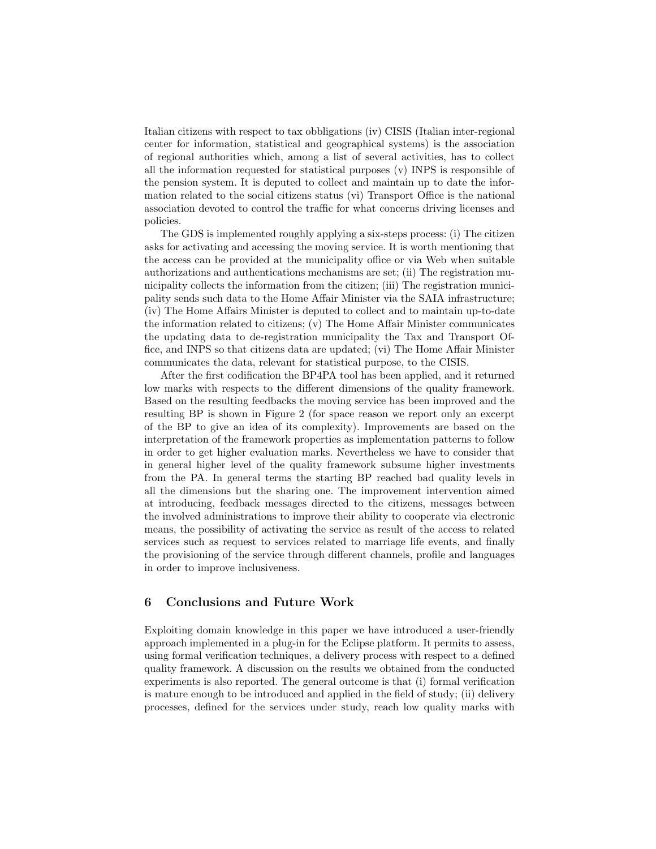Italian citizens with respect to tax obbligations (iv) CISIS (Italian inter-regional center for information, statistical and geographical systems) is the association of regional authorities which, among a list of several activities, has to collect all the information requested for statistical purposes (v) INPS is responsible of the pension system. It is deputed to collect and maintain up to date the information related to the social citizens status (vi) Transport Office is the national association devoted to control the traffic for what concerns driving licenses and policies.

The GDS is implemented roughly applying a six-steps process: (i) The citizen asks for activating and accessing the moving service. It is worth mentioning that the access can be provided at the municipality office or via Web when suitable authorizations and authentications mechanisms are set; (ii) The registration municipality collects the information from the citizen; (iii) The registration municipality sends such data to the Home Affair Minister via the SAIA infrastructure; (iv) The Home Affairs Minister is deputed to collect and to maintain up-to-date the information related to citizens; (v) The Home Affair Minister communicates the updating data to de-registration municipality the Tax and Transport Office, and INPS so that citizens data are updated; (vi) The Home Affair Minister communicates the data, relevant for statistical purpose, to the CISIS.

After the first codification the BP4PA tool has been applied, and it returned low marks with respects to the different dimensions of the quality framework. Based on the resulting feedbacks the moving service has been improved and the resulting BP is shown in Figure 2 (for space reason we report only an excerpt of the BP to give an idea of its complexity). Improvements are based on the interpretation of the framework properties as implementation patterns to follow in order to get higher evaluation marks. Nevertheless we have to consider that in general higher level of the quality framework subsume higher investments from the PA. In general terms the starting BP reached bad quality levels in all the dimensions but the sharing one. The improvement intervention aimed at introducing, feedback messages directed to the citizens, messages between the involved administrations to improve their ability to cooperate via electronic means, the possibility of activating the service as result of the access to related services such as request to services related to marriage life events, and finally the provisioning of the service through different channels, profile and languages in order to improve inclusiveness.

### 6 Conclusions and Future Work

Exploiting domain knowledge in this paper we have introduced a user-friendly approach implemented in a plug-in for the Eclipse platform. It permits to assess, using formal verification techniques, a delivery process with respect to a defined quality framework. A discussion on the results we obtained from the conducted experiments is also reported. The general outcome is that (i) formal verification is mature enough to be introduced and applied in the field of study; (ii) delivery processes, defined for the services under study, reach low quality marks with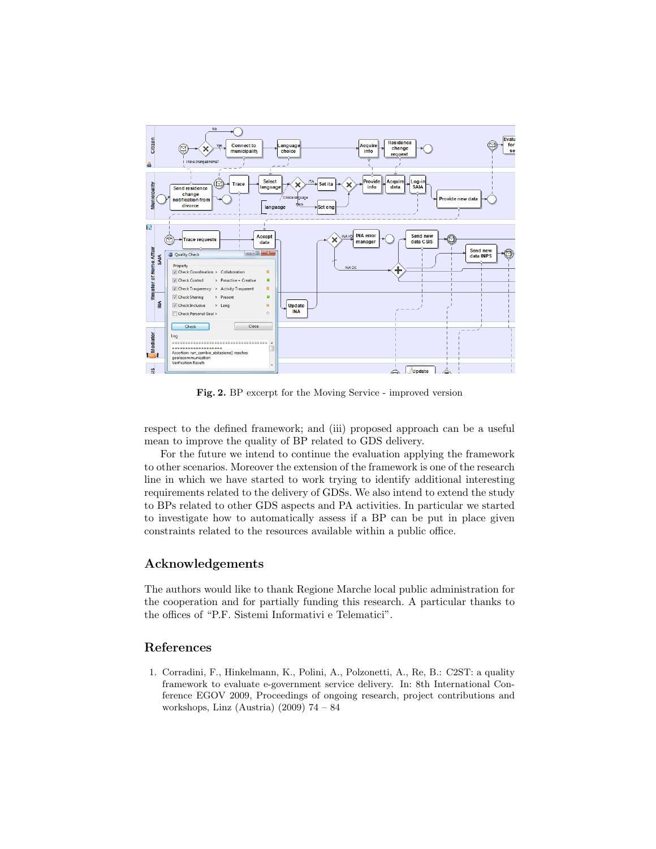

Fig. 2. BP excerpt for the Moving Service - improved version

respect to the defined framework; and (iii) proposed approach can be a useful mean to improve the quality of BP related to GDS delivery.

For the future we intend to continue the evaluation applying the framework to other scenarios. Moreover the extension of the framework is one of the research line in which we have started to work trying to identify additional interesting requirements related to the delivery of GDSs. We also intend to extend the study to BPs related to other GDS aspects and PA activities. In particular we started to investigate how to automatically assess if a BP can be put in place given constraints related to the resources available within a public office.

# Acknowledgements

The authors would like to thank Regione Marche local public administration for the cooperation and for partially funding this research. A particular thanks to the offices of "P.F. Sistemi Informativi e Telematici".

# References

1. Corradini, F., Hinkelmann, K., Polini, A., Polzonetti, A., Re, B.: C2ST: a quality framework to evaluate e-government service delivery. In: 8th International Conference EGOV 2009, Proceedings of ongoing research, project contributions and workshops, Linz (Austria) (2009) 74 – 84